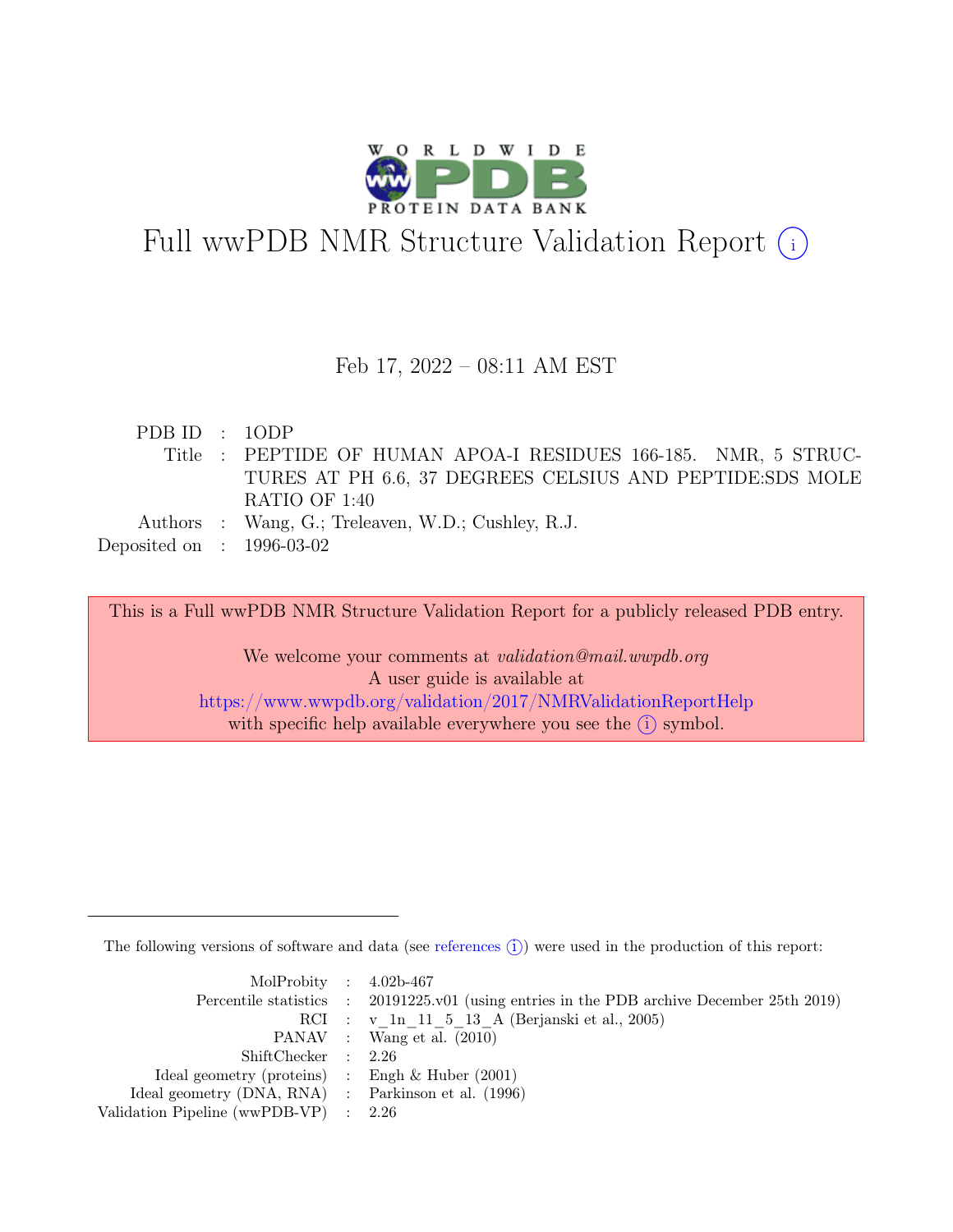

# Full wwPDB NMR Structure Validation Report (i)

### Feb 17, 2022 – 08:11 AM EST

| PDB ID : 10DP               |                                                                 |
|-----------------------------|-----------------------------------------------------------------|
|                             | Title : PEPTIDE OF HUMAN APOA-I RESIDUES 166-185. NMR, 5 STRUC- |
|                             | TURES AT PH 6.6, 37 DEGREES CELSIUS AND PEPTIDE:SDS MOLE        |
|                             | RATIO OF 1:40                                                   |
|                             | Authors : Wang, G.; Treleaven, W.D.; Cushley, R.J.              |
| Deposited on : $1996-03-02$ |                                                                 |

This is a Full wwPDB NMR Structure Validation Report for a publicly released PDB entry.

We welcome your comments at *validation@mail.wwpdb.org* A user guide is available at <https://www.wwpdb.org/validation/2017/NMRValidationReportHelp> with specific help available everywhere you see the  $(i)$  symbol.

The following versions of software and data (see [references](https://www.wwpdb.org/validation/2017/NMRValidationReportHelp#references)  $\hat{I}$ ) were used in the production of this report:

| MolProbity : $4.02b-467$                            |                                                                                            |
|-----------------------------------------------------|--------------------------------------------------------------------------------------------|
|                                                     | Percentile statistics : 20191225.v01 (using entries in the PDB archive December 25th 2019) |
|                                                     | RCI : v 1n 11 5 13 A (Berjanski et al., 2005)                                              |
|                                                     | PANAV : Wang et al. (2010)                                                                 |
| ShiftChecker : 2.26                                 |                                                                                            |
| Ideal geometry (proteins) : Engh $\&$ Huber (2001)  |                                                                                            |
| Ideal geometry (DNA, RNA) : Parkinson et al. (1996) |                                                                                            |
| Validation Pipeline (wwPDB-VP) $\therefore$ 2.26    |                                                                                            |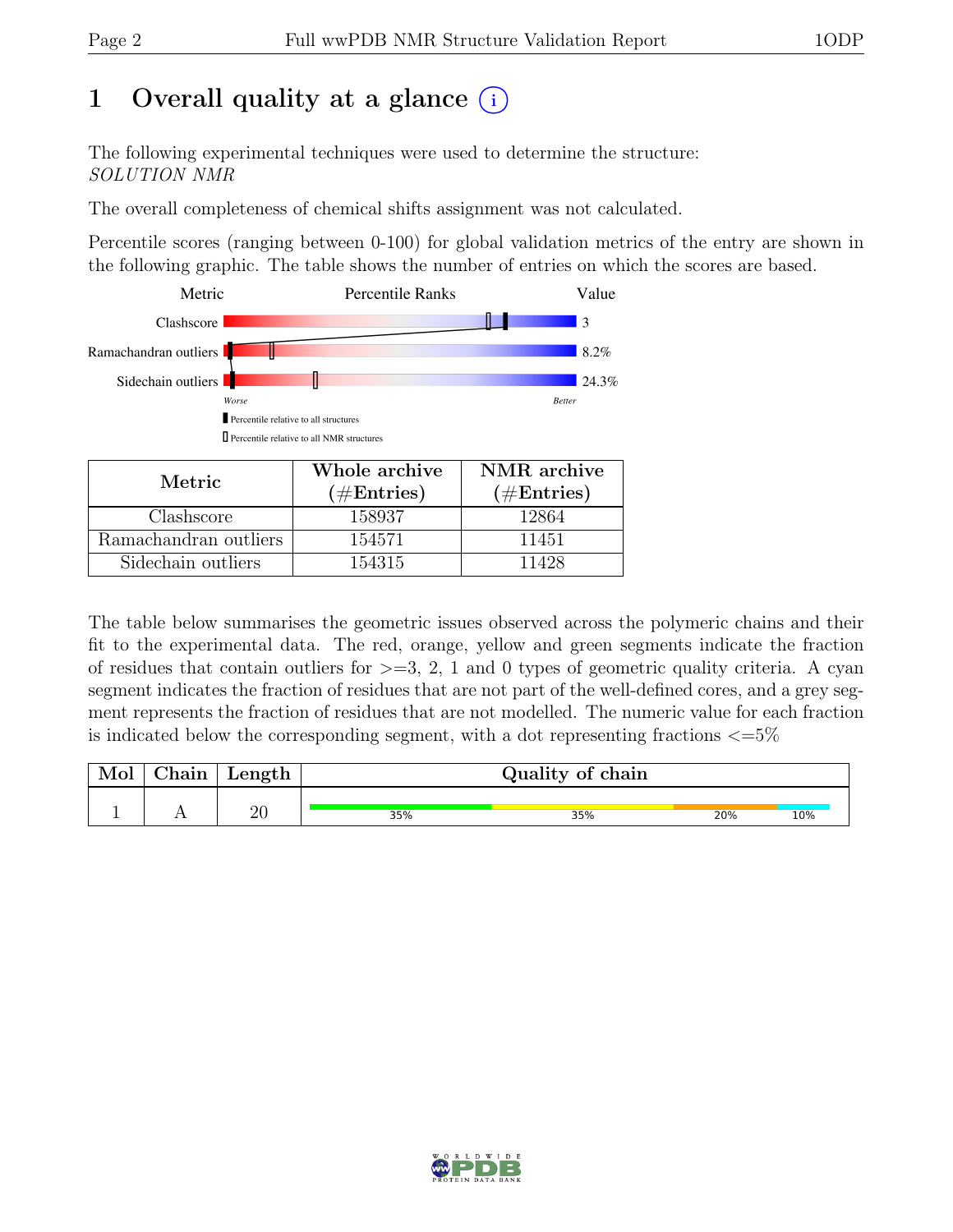## 1 Overall quality at a glance  $(i)$

The following experimental techniques were used to determine the structure: SOLUTION NMR

The overall completeness of chemical shifts assignment was not calculated.

Percentile scores (ranging between 0-100) for global validation metrics of the entry are shown in the following graphic. The table shows the number of entries on which the scores are based.



| Metric.               | Whole archive<br>$(\#Entries)$ | NMR archive<br>$(\#Entries)$ |  |  |
|-----------------------|--------------------------------|------------------------------|--|--|
| Clashscore            | 158937                         | 12864                        |  |  |
| Ramachandran outliers | 154571                         | 11451                        |  |  |
| Sidechain outliers    | 154315                         | 11428                        |  |  |

The table below summarises the geometric issues observed across the polymeric chains and their fit to the experimental data. The red, orange, yellow and green segments indicate the fraction of residues that contain outliers for  $>=$  3, 2, 1 and 0 types of geometric quality criteria. A cyan segment indicates the fraction of residues that are not part of the well-defined cores, and a grey segment represents the fraction of residues that are not modelled. The numeric value for each fraction is indicated below the corresponding segment, with a dot representing fractions  $\langle=5\%$ 

| Mol | $\perp$ Chain $\perp$ | $\perp$ Length $\perp$ | Quality of chain |     |     |     |  |
|-----|-----------------------|------------------------|------------------|-----|-----|-----|--|
|     |                       | ഹ<br>∠∪                | 35%              | 35% | 20% | 10% |  |

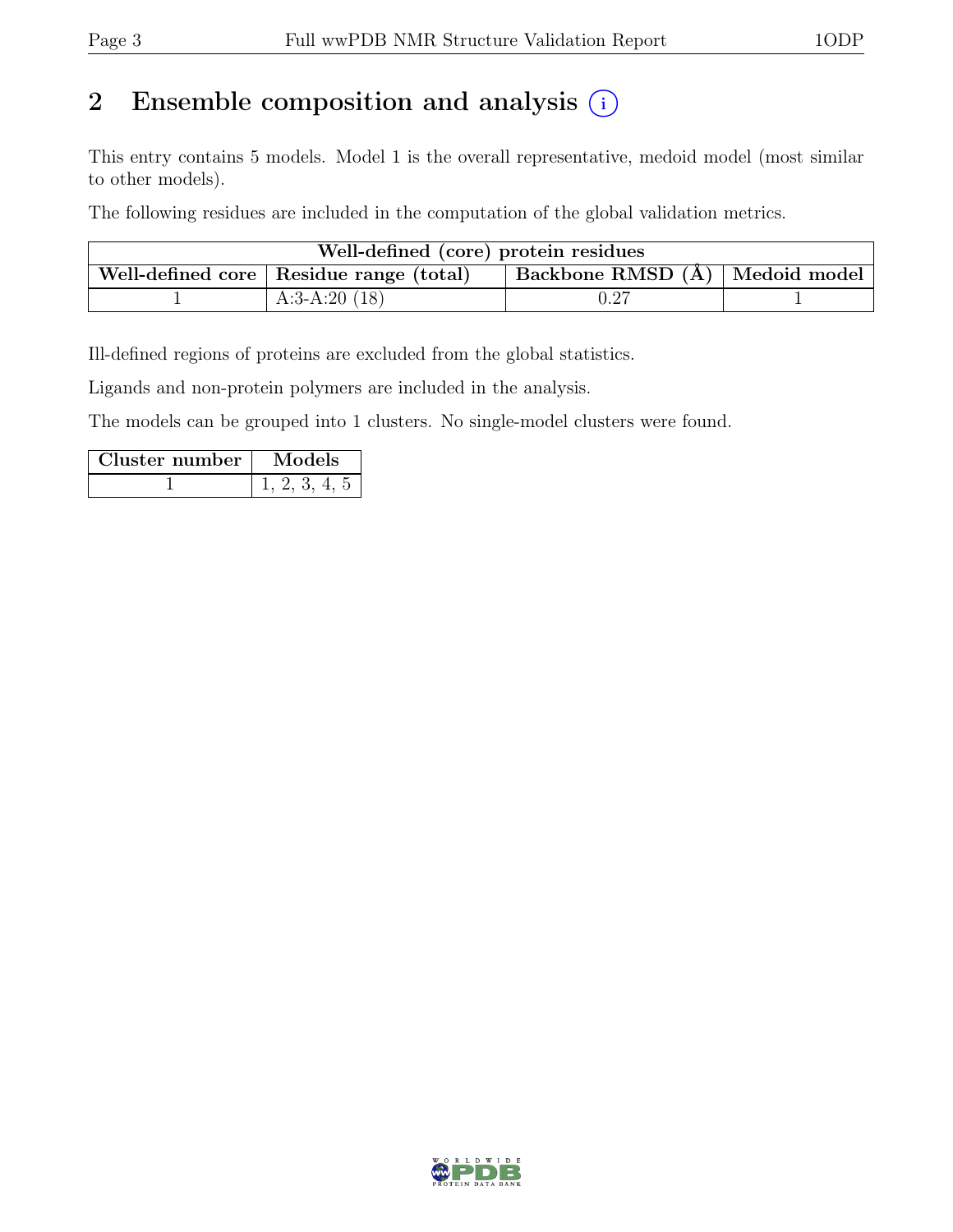## 2 Ensemble composition and analysis  $(i)$

This entry contains 5 models. Model 1 is the overall representative, medoid model (most similar to other models).

The following residues are included in the computation of the global validation metrics.

| Well-defined (core) protein residues |                                           |                                |  |  |  |  |  |
|--------------------------------------|-------------------------------------------|--------------------------------|--|--|--|--|--|
|                                      | Well-defined core   Residue range (total) | Backbone RMSD (Å) Medoid model |  |  |  |  |  |
|                                      | A:3-A:20 $(18)$                           | $\rm 0.27$                     |  |  |  |  |  |

Ill-defined regions of proteins are excluded from the global statistics.

Ligands and non-protein polymers are included in the analysis.

The models can be grouped into 1 clusters. No single-model clusters were found.

| Cluster number | Models |  |  |
|----------------|--------|--|--|
|                |        |  |  |

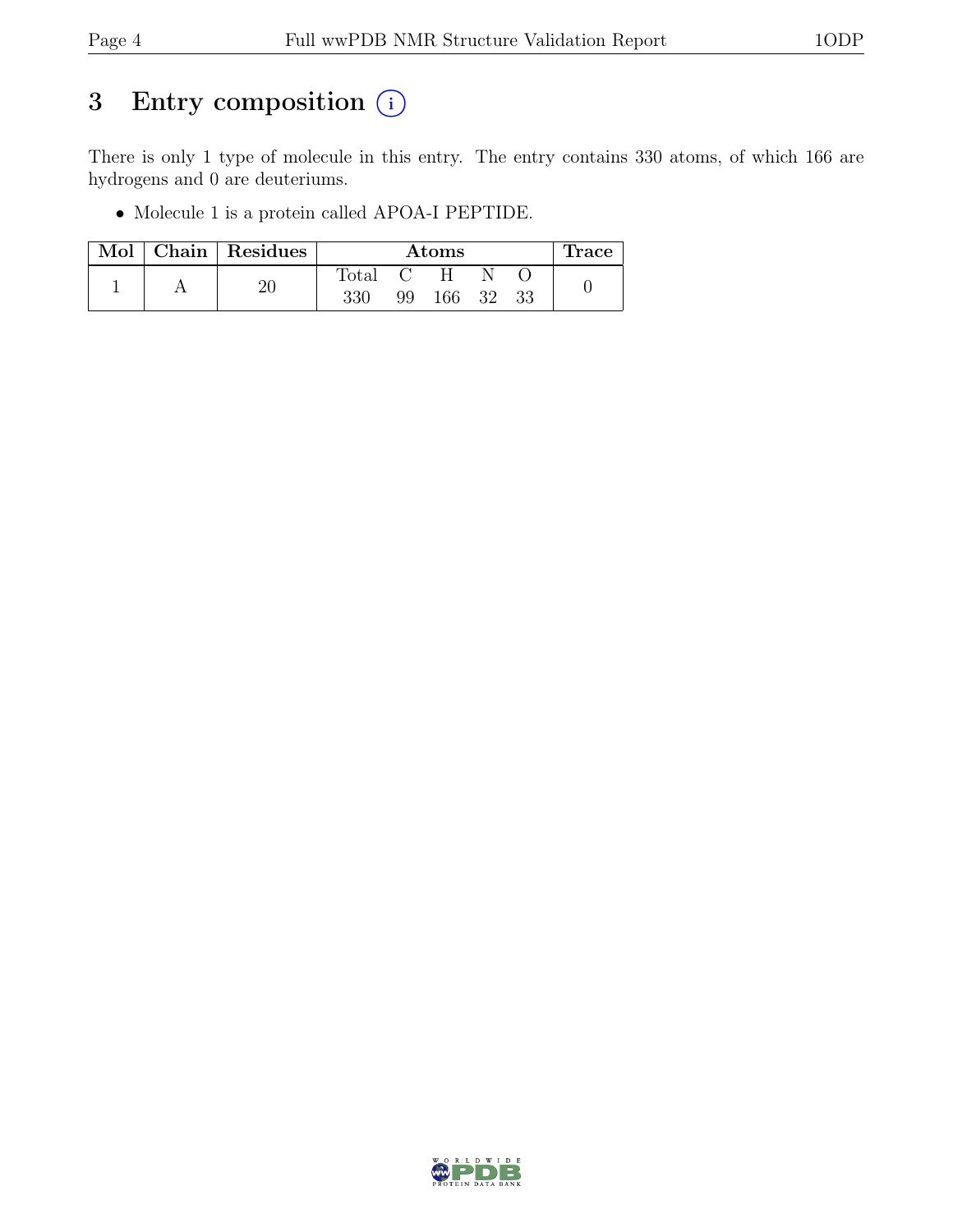## 3 Entry composition  $(i)$

There is only 1 type of molecule in this entry. The entry contains 330 atoms, of which 166 are hydrogens and 0 are deuteriums.

• Molecule 1 is a protein called APOA-I PEPTIDE.

| Mol | Chain Residues | Atoms          |    |        |  |    | trace |
|-----|----------------|----------------|----|--------|--|----|-------|
|     |                | $\text{Total}$ |    |        |  |    |       |
|     |                | 330            | 99 | 166 32 |  | 33 |       |

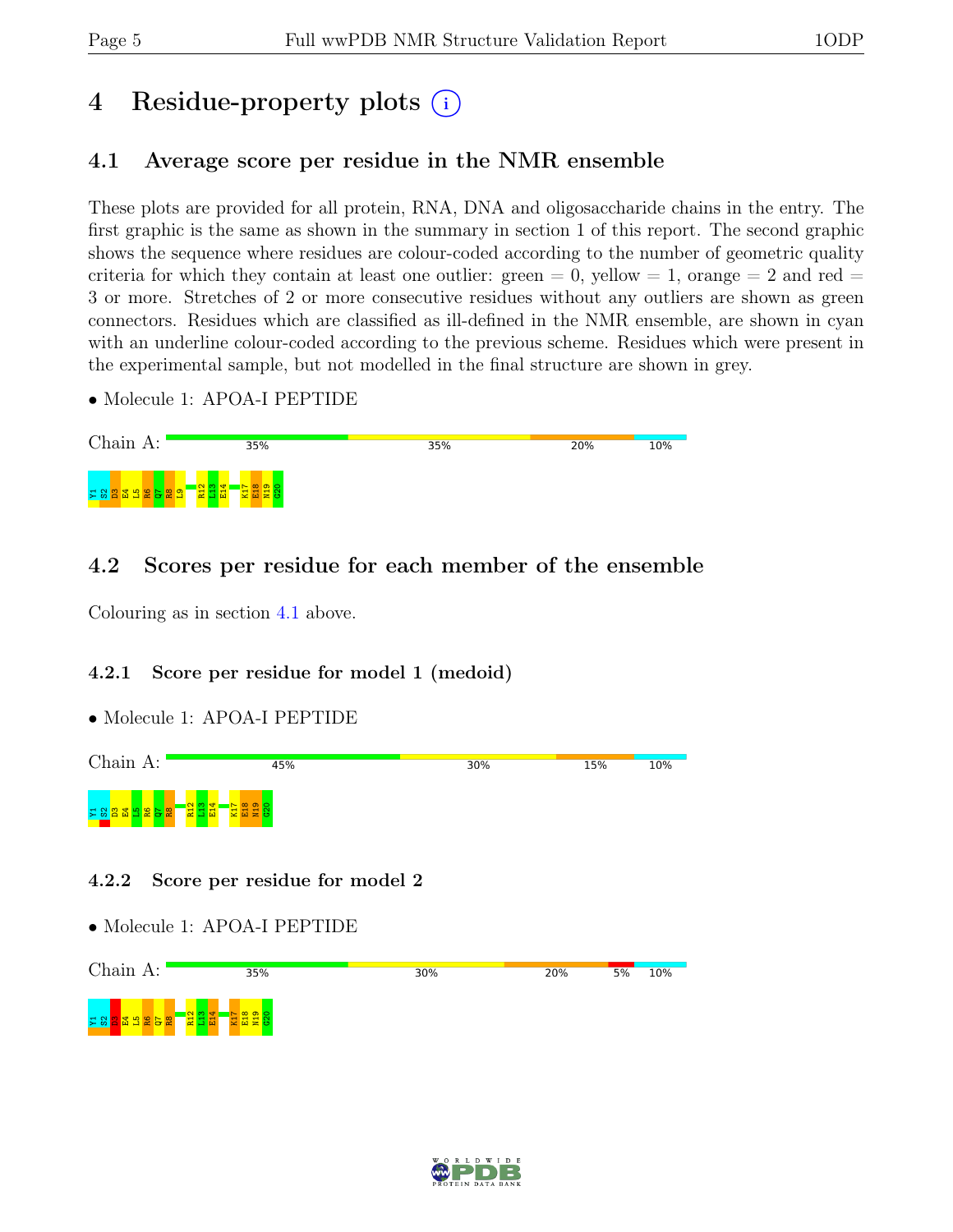## 4 Residue-property plots (i)

## <span id="page-4-0"></span>4.1 Average score per residue in the NMR ensemble

These plots are provided for all protein, RNA, DNA and oligosaccharide chains in the entry. The first graphic is the same as shown in the summary in section 1 of this report. The second graphic shows the sequence where residues are colour-coded according to the number of geometric quality criteria for which they contain at least one outlier:  $green = 0$ ,  $yellow = 1$ ,  $orange = 2$  and  $red =$ 3 or more. Stretches of 2 or more consecutive residues without any outliers are shown as green connectors. Residues which are classified as ill-defined in the NMR ensemble, are shown in cyan with an underline colour-coded according to the previous scheme. Residues which were present in the experimental sample, but not modelled in the final structure are shown in grey.

• Molecule 1: APOA-I PEPTIDE



### 4.2 Scores per residue for each member of the ensemble

Colouring as in section [4.1](#page-4-0) above.

### 4.2.1 Score per residue for model 1 (medoid)

• Molecule 1: APOA-I PEPTIDE



### 4.2.2 Score per residue for model 2

• Molecule 1: APOA-I PEPTIDE



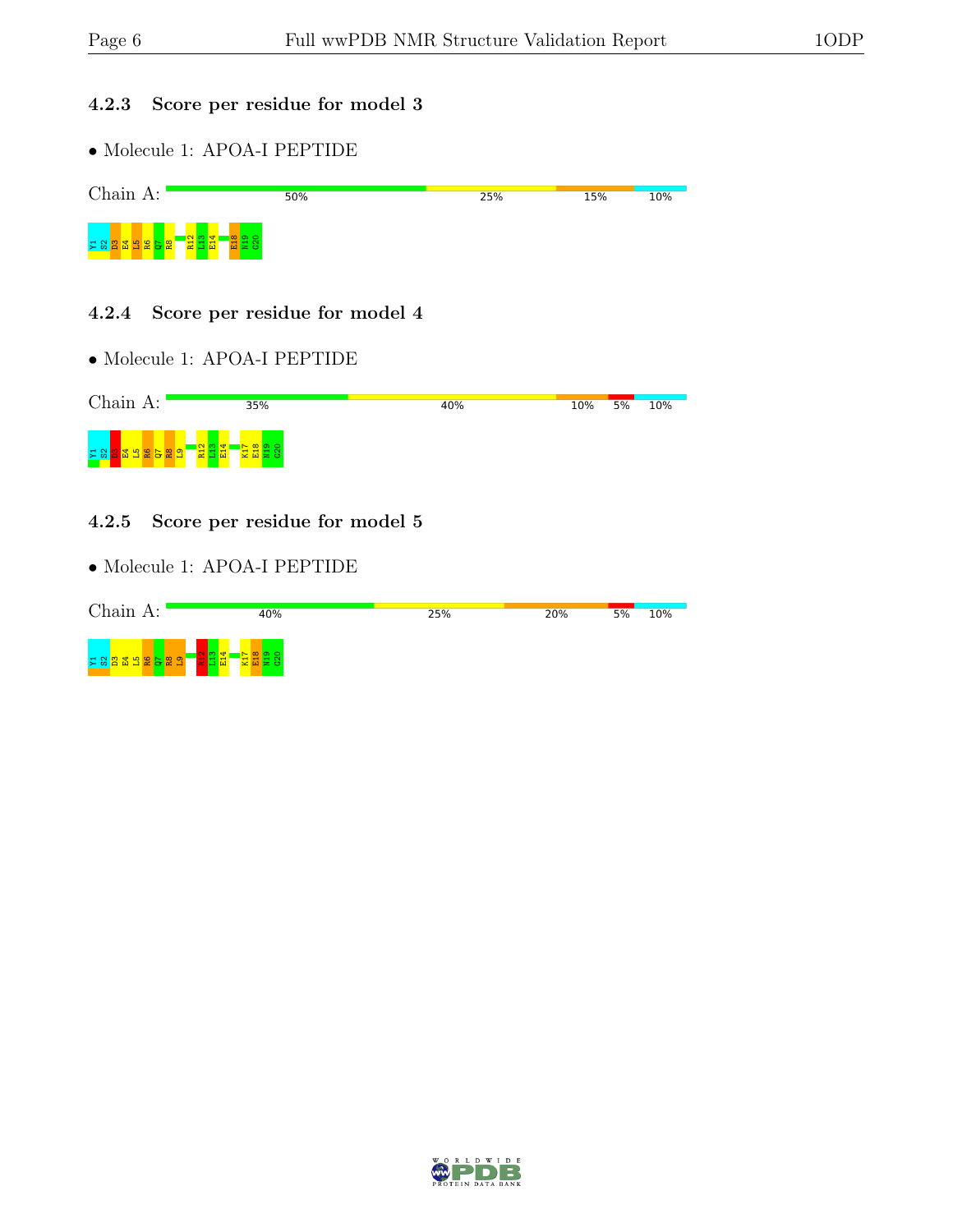### 4.2.3 Score per residue for model 3

• Molecule 1: APOA-I PEPTIDE



#### 4.2.4 Score per residue for model 4

• Molecule 1: APOA-I PEPTIDE



#### 4.2.5 Score per residue for model 5

• Molecule 1: APOA-I PEPTIDE



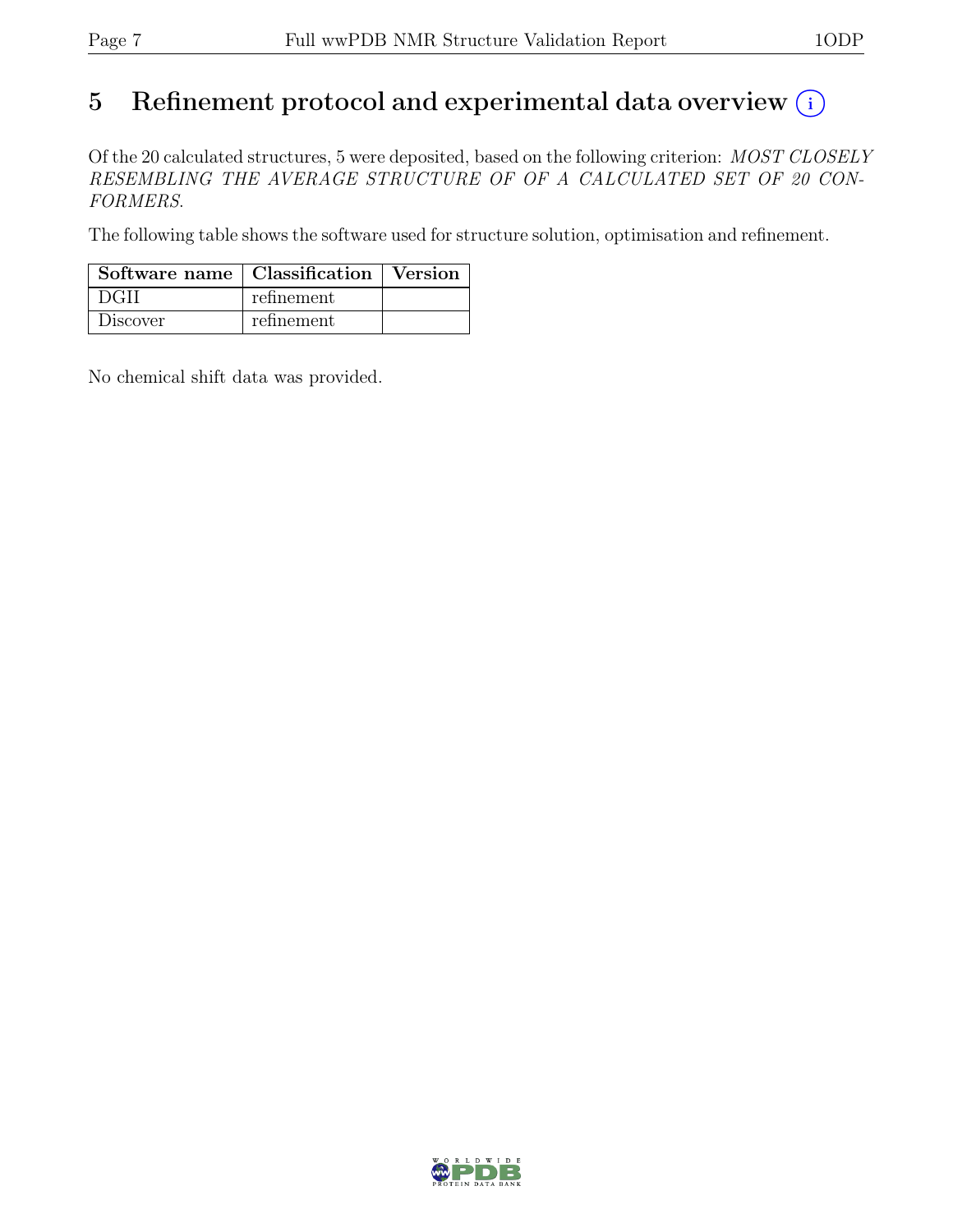# 5 Refinement protocol and experimental data overview  $\odot$

Of the 20 calculated structures, 5 were deposited, based on the following criterion: MOST CLOSELY RESEMBLING THE AVERAGE STRUCTURE OF OF A CALCULATED SET OF 20 CON-FORMERS.

The following table shows the software used for structure solution, optimisation and refinement.

| Software name   Classification   Version |            |  |
|------------------------------------------|------------|--|
| ∣ DGH                                    | refinement |  |
| Discover                                 | refinement |  |

No chemical shift data was provided.

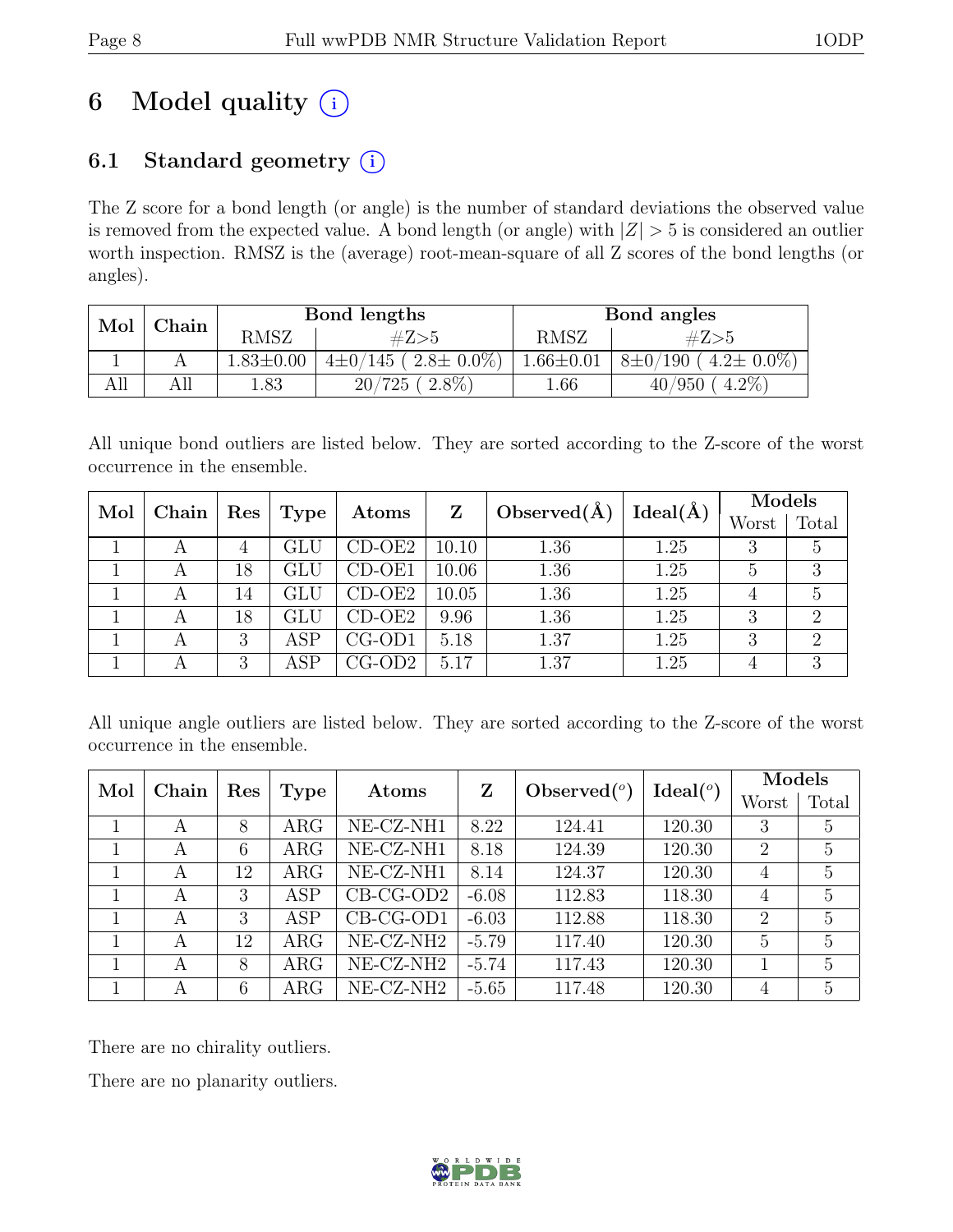# 6 Model quality  $(i)$

## 6.1 Standard geometry  $(i)$

The Z score for a bond length (or angle) is the number of standard deviations the observed value is removed from the expected value. A bond length (or angle) with  $|Z| > 5$  is considered an outlier worth inspection. RMSZ is the (average) root-mean-square of all Z scores of the bond lengths (or angles).

| Mol | ${\rm Chain}$ |                 | Bond lengths                      | Bond angles     |                                    |  |
|-----|---------------|-----------------|-----------------------------------|-----------------|------------------------------------|--|
|     |               | RMSZ            | #Z>5                              | RMSZ            | #Z>5                               |  |
|     |               | $1.83 \pm 0.00$ | $(2.8 \pm 0.0\%)$<br>$4\pm 0/145$ | $1.66 \pm 0.01$ | $4.2 \pm 0.0\%$<br>$8\pm0/$<br>190 |  |
| All |               | 1.83            | $2.8\%$<br>20/<br>'725            | 1.66            | $4.2\%$<br>40/950                  |  |

All unique bond outliers are listed below. They are sorted according to the Z-score of the worst occurrence in the ensemble.

| Mol<br>${\bf Chain}$ |                         | Type         | Atoms    | Z     | Observed( $\AA$ ) | $Ideal(\AA)$ | Models |            |
|----------------------|-------------------------|--------------|----------|-------|-------------------|--------------|--------|------------|
|                      | $\mathop{\mathrm{Res}}$ |              |          |       |                   |              | Worst  | Total      |
| A                    | 4                       | GLU          | $CD-OE2$ | 10.10 | 1.36              | 1.25         | 3      | 5          |
|                      | 18                      | $_{\rm GLU}$ | CD-OE1   | 10.06 | 1.36              | 1.25         |        |            |
|                      | 14                      | GLU          | CD-OE2   | 10.05 | 1.36              | 1.25         |        | $\ddot{c}$ |
| А                    | 18                      | GLU          | $CD-OE2$ | 9.96  | 1.36              | 1.25         | 2      |            |
|                      | 3                       | ${\rm ASP}$  | $CG-OD1$ | 5.18  | 1.37              | 1.25         | 3      |            |
|                      | 3                       | ASP          | $CG-OD2$ | 5.17  | 1.37              | 1.25         |        |            |

All unique angle outliers are listed below. They are sorted according to the Z-score of the worst occurrence in the ensemble.

| Mol<br>Chain |   |     |            |                       | Z       |                |                      | Models         |       |
|--------------|---|-----|------------|-----------------------|---------|----------------|----------------------|----------------|-------|
|              |   | Res | Type       | Atoms                 |         | Observed $(°)$ | Ideal <sup>(o)</sup> | Worst          | Total |
|              | A | 8   | $\rm{ARG}$ | NE-CZ-NH1             | 8.22    | 124.41         | 120.30               | 3              | 5     |
|              | A | 6   | $\rm{ARG}$ | NE-CZ-NH1             | 8.18    | 124.39         | 120.30               | $\overline{2}$ | 5     |
|              | A | 12  | $\rm{ARG}$ | $NE- CZ-NH1$          | 8.14    | 124.37         | 120.30               | 4              | 5     |
|              | A | 3   | ASP        | $CB-CG-OD2$           | $-6.08$ | 112.83         | 118.30               | 4              | 5     |
|              | A | 3   | ASP        | $CB-CG-OD1$           | $-6.03$ | 112.88         | 118.30               | $\overline{2}$ | 5     |
|              | A | 12  | $\rm{ARG}$ | NE-CZ-NH <sub>2</sub> | $-5.79$ | 117.40         | 120.30               | 5              | 5     |
|              | А | 8   | $\rm{ARG}$ | $NE- CZ-NH2$          | $-5.74$ | 117.43         | 120.30               |                | 5     |
|              | A | 6   | $\rm{ARG}$ | NE-CZ-NH <sub>2</sub> | $-5.65$ | 117.48         | 120.30               | 4              | 5     |

There are no chirality outliers.

There are no planarity outliers.

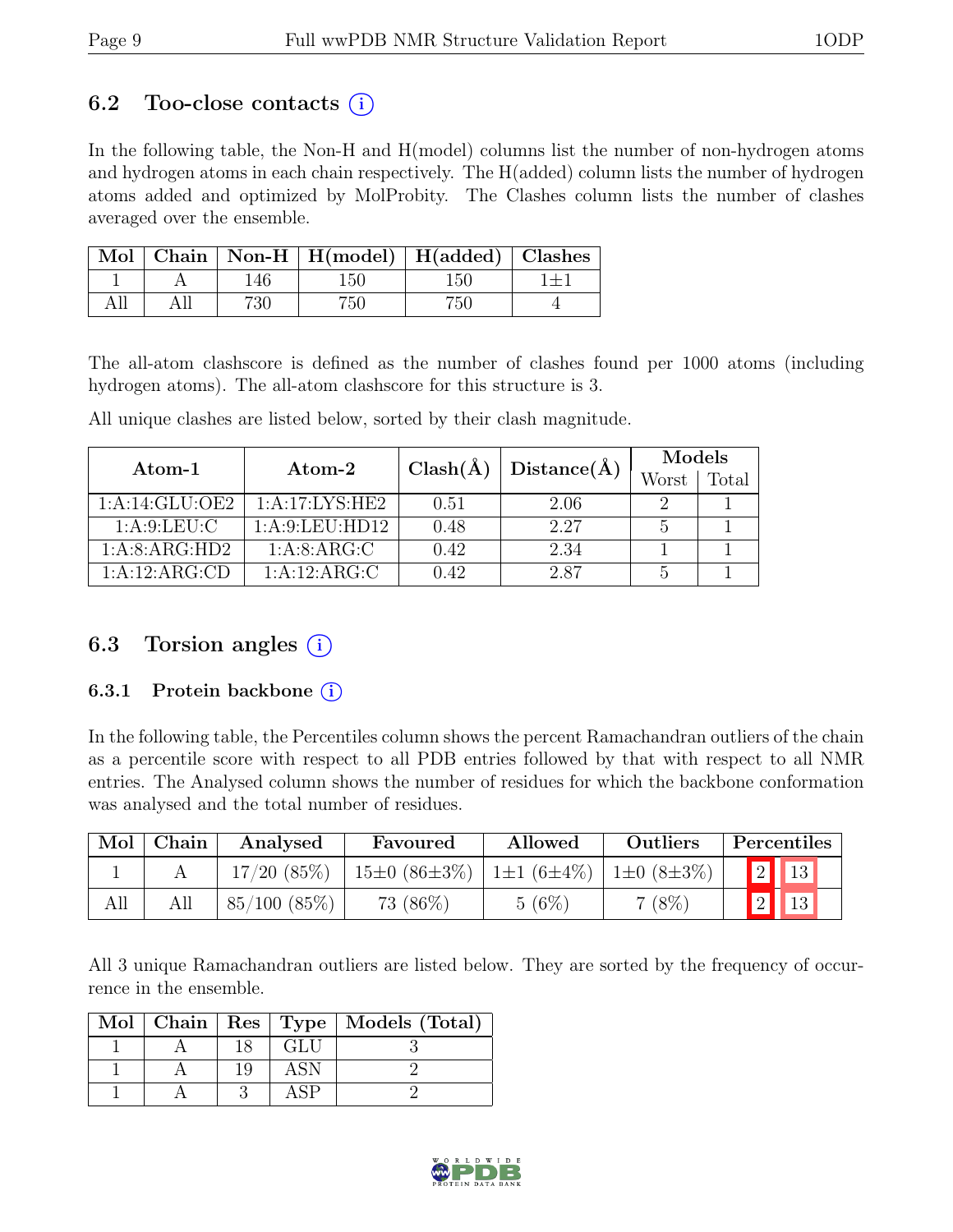### 6.2 Too-close contacts  $(i)$

In the following table, the Non-H and H(model) columns list the number of non-hydrogen atoms and hydrogen atoms in each chain respectively. The H(added) column lists the number of hydrogen atoms added and optimized by MolProbity. The Clashes column lists the number of clashes averaged over the ensemble.

|  |     | Mol   Chain   Non-H   H(model)   H(added)   Clashes |     |  |
|--|-----|-----------------------------------------------------|-----|--|
|  |     | 150.                                                | 150 |  |
|  | 730 | '51                                                 | '50 |  |

The all-atom clashscore is defined as the number of clashes found per 1000 atoms (including hydrogen atoms). The all-atom clashscore for this structure is 3.

All unique clashes are listed below, sorted by their clash magnitude.

| Atom-1         | Atom-2            | $Clash(\AA)$ | Distance(A) | Models |       |  |
|----------------|-------------------|--------------|-------------|--------|-------|--|
|                |                   |              |             | Worst  | Total |  |
| 1:A:14:GLU:OE2 | 1:A:17:LYS:HE2    | 0.51         | 2.06        |        |       |  |
| 1: A:9: LEU: C | 1: A:9: LEU: HD12 | 0.48         | 2.27        | h      |       |  |
| 1:A:8:ARG:HD2  | 1: A:8: ARG:C     | 0.42         | 2.34        |        |       |  |
| 1:A:12:ARG:CD  | 1:A:12:ARG:C      | 0.42         | 2.87        |        |       |  |

### 6.3 Torsion angles  $(i)$

#### 6.3.1 Protein backbone ①

In the following table, the Percentiles column shows the percent Ramachandran outliers of the chain as a percentile score with respect to all PDB entries followed by that with respect to all NMR entries. The Analysed column shows the number of residues for which the backbone conformation was analysed and the total number of residues.

| Mol | Chain | Analysed          | Favoured           | Allowed            | Outliers         | Percentiles |
|-----|-------|-------------------|--------------------|--------------------|------------------|-------------|
|     |       | 17/20(85%)        | $15\pm0(86\pm3\%)$ | $ 1\pm1(6\pm4\%) $ | $1\pm0(8\pm3\%)$ | 2           |
| All |       | $85/100$ $(85\%)$ | 73 (86\%)          | 5(6%)              | $7(8\%)$         |             |

All 3 unique Ramachandran outliers are listed below. They are sorted by the frequency of occurrence in the ensemble.

|  |     |     | Mol   Chain   Res   Type   Models (Total) |
|--|-----|-----|-------------------------------------------|
|  |     | GLU |                                           |
|  | 1 Q | ASN |                                           |
|  |     |     |                                           |

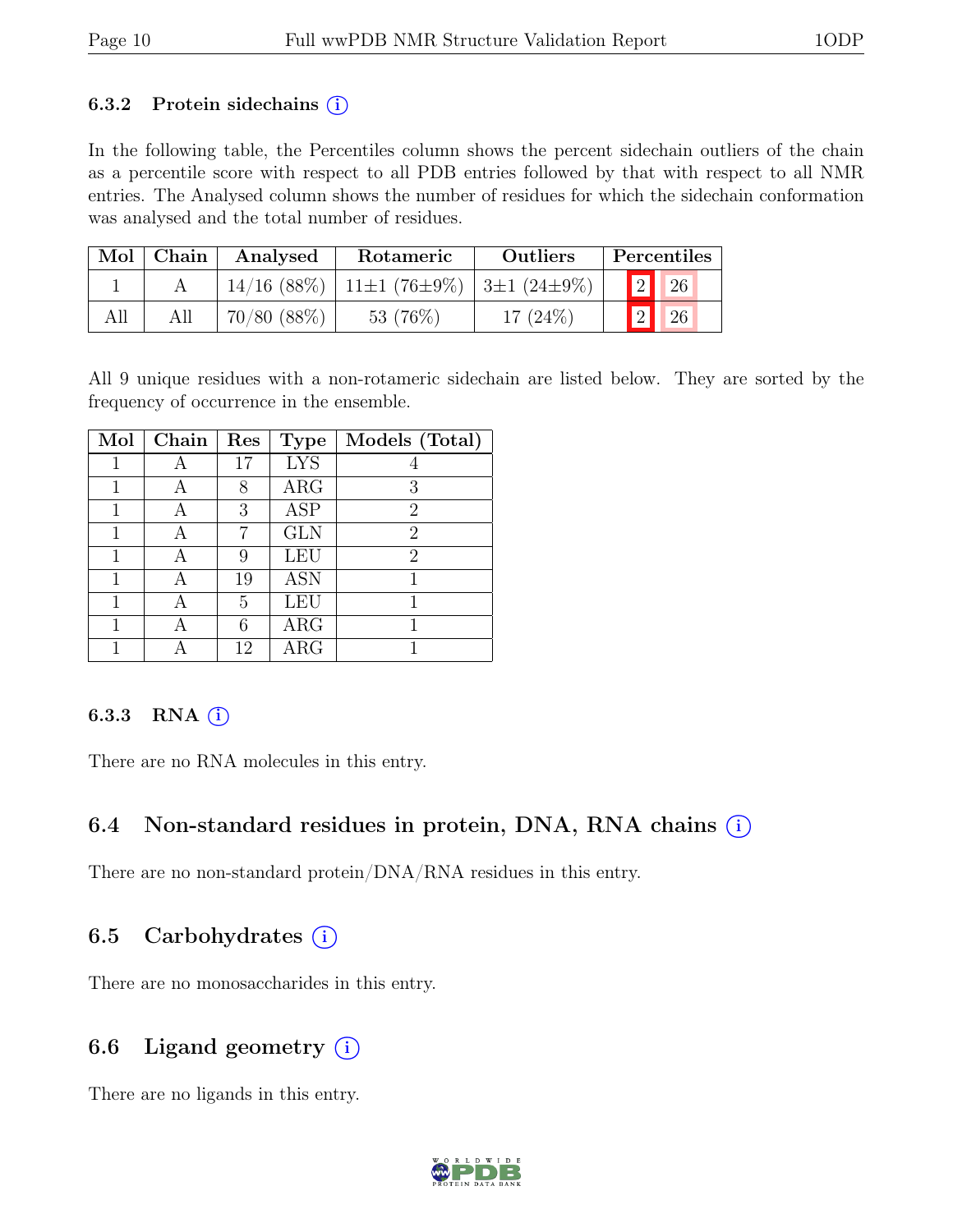#### 6.3.2 Protein sidechains  $(i)$

In the following table, the Percentiles column shows the percent sidechain outliers of the chain as a percentile score with respect to all PDB entries followed by that with respect to all NMR entries. The Analysed column shows the number of residues for which the sidechain conformation was analysed and the total number of residues.

| Mol | Chain | Analysed<br>Rotameric |                                               | <b>Outliers</b> |  | Percentiles      |    |
|-----|-------|-----------------------|-----------------------------------------------|-----------------|--|------------------|----|
|     |       |                       | $14/16$ (88\%)   11±1 (76±9\%)   3±1 (24±9\%) |                 |  | $\sqrt{2}$       | 26 |
| All | All   | 70/80(88%)            | 53 $(76\%)$                                   | 17 $(24%)$      |  | $\mathbf{1}_{2}$ | 26 |

All 9 unique residues with a non-rotameric sidechain are listed below. They are sorted by the frequency of occurrence in the ensemble.

| Mol | Chain | Res | <b>Type</b> | Models (Total) |
|-----|-------|-----|-------------|----------------|
|     |       | 17  | <b>LYS</b>  |                |
|     |       | 8   | ARG         | 3              |
|     |       | 3   | <b>ASP</b>  | $\overline{2}$ |
|     | А     | 7   | <b>GLN</b>  | $\overline{2}$ |
|     |       | 9   | LEU         | 2              |
|     |       | 19  | <b>ASN</b>  |                |
|     |       | 5   | <b>LEU</b>  |                |
|     |       | 6   | <b>ARG</b>  |                |
|     |       | 12  | <b>ARG</b>  |                |

### 6.3.3 RNA $(i)$

There are no RNA molecules in this entry.

### 6.4 Non-standard residues in protein, DNA, RNA chains (i)

There are no non-standard protein/DNA/RNA residues in this entry.

### 6.5 Carbohydrates  $(i)$

There are no monosaccharides in this entry.

### 6.6 Ligand geometry  $(i)$

There are no ligands in this entry.

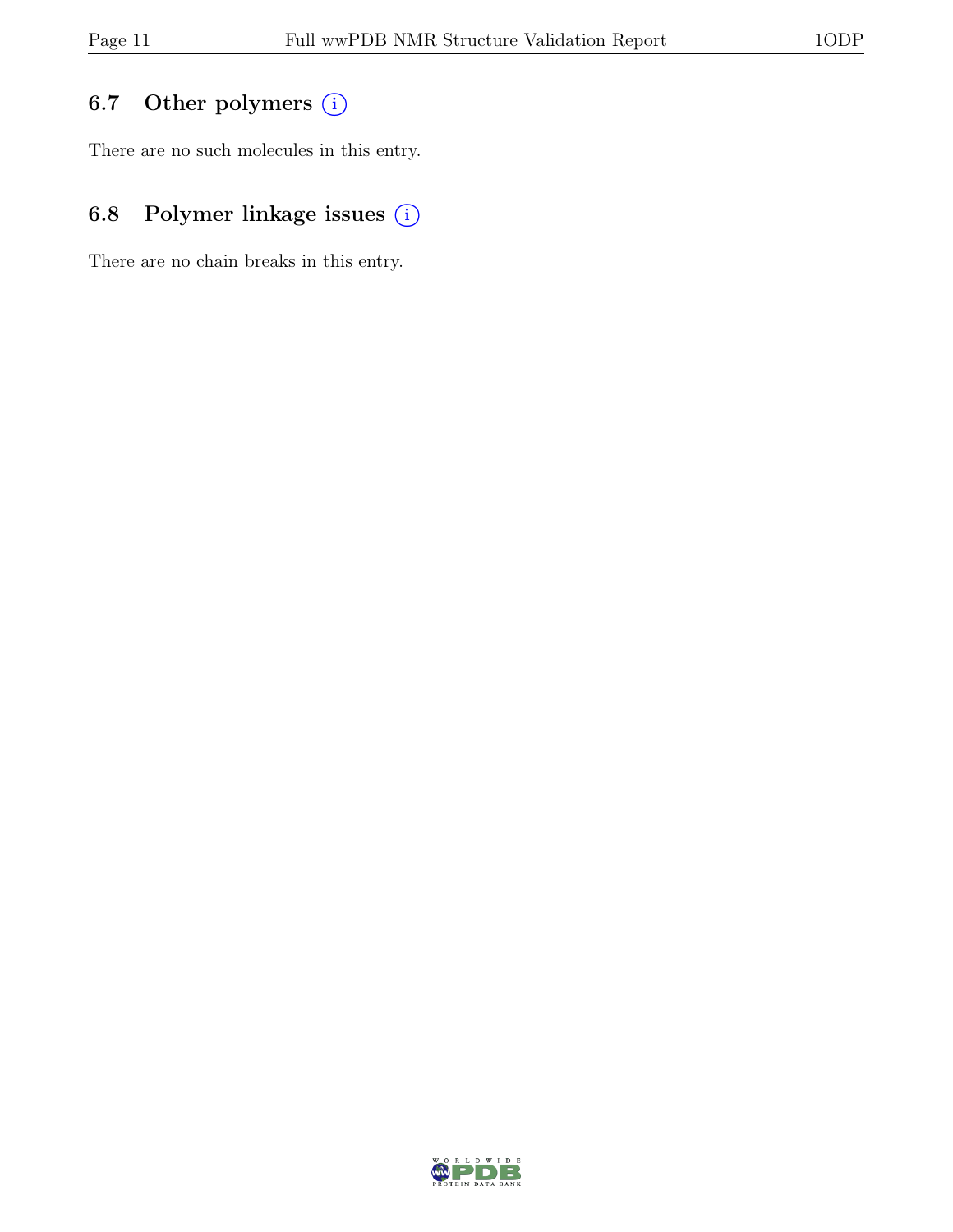## 6.7 Other polymers (i)

There are no such molecules in this entry.

## 6.8 Polymer linkage issues (i)

There are no chain breaks in this entry.